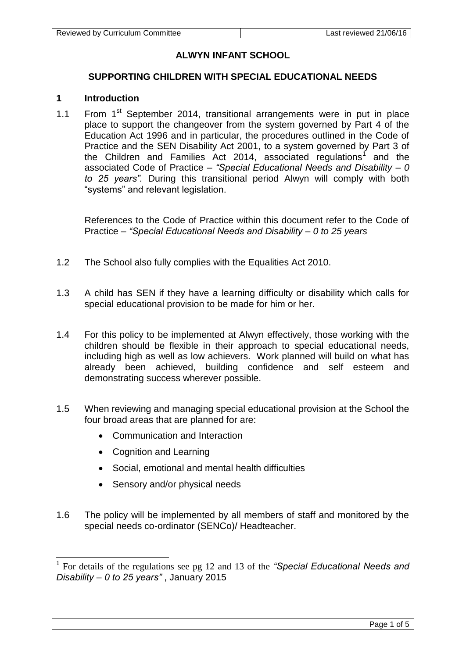# **ALWYN INFANT SCHOOL**

# **SUPPORTING CHILDREN WITH SPECIAL EDUCATIONAL NEEDS**

# **1 Introduction**

1.1 From 1<sup>st</sup> September 2014, transitional arrangements were in put in place place to support the changeover from the system governed by Part 4 of the Education Act 1996 and in particular, the procedures outlined in the Code of Practice and the SEN Disability Act 2001, to a system governed by Part 3 of the Children and Families Act 2014, associated regulations<sup>1</sup> and the associated Code of Practice – *"Special Educational Needs and Disability – 0 to 25 years".* During this transitional period Alwyn will comply with both "systems" and relevant legislation.

References to the Code of Practice within this document refer to the Code of Practice – *"Special Educational Needs and Disability – 0 to 25 years*

- 1.2 The School also fully complies with the Equalities Act 2010.
- 1.3 A child has SEN if they have a learning difficulty or disability which calls for special educational provision to be made for him or her.
- 1.4 For this policy to be implemented at Alwyn effectively, those working with the children should be flexible in their approach to special educational needs, including high as well as low achievers. Work planned will build on what has already been achieved, building confidence and self esteem and demonstrating success wherever possible.
- 1.5 When reviewing and managing special educational provision at the School the four broad areas that are planned for are:
	- Communication and Interaction
	- Cognition and Learning

-

- Social, emotional and mental health difficulties
- Sensory and/or physical needs
- 1.6 The policy will be implemented by all members of staff and monitored by the special needs co-ordinator (SENCo)/ Headteacher.

<sup>&</sup>lt;sup>1</sup> For details of the regulations see pg 12 and 13 of the "Special Educational Needs and *Disability – 0 to 25 years"* , January 2015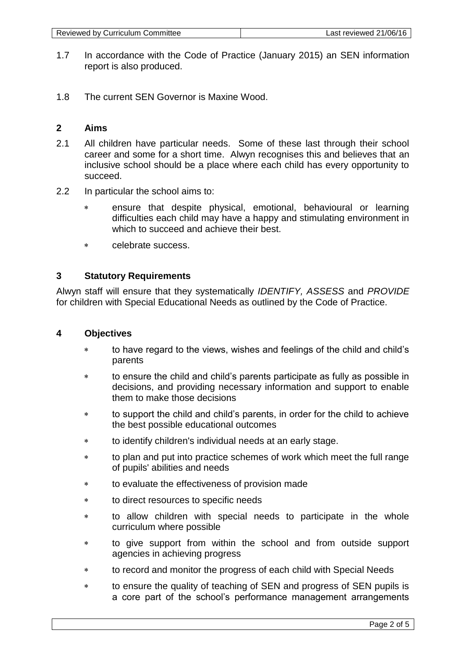| Reviewed by Curriculum Committee | Last reviewed $21/06/16$ |
|----------------------------------|--------------------------|
|----------------------------------|--------------------------|

- 1.7 In accordance with the Code of Practice (January 2015) an SEN information report is also produced.
- 1.8 The current SEN Governor is Maxine Wood.

# **2 Aims**

- 2.1 All children have particular needs. Some of these last through their school career and some for a short time. Alwyn recognises this and believes that an inclusive school should be a place where each child has every opportunity to succeed.
- 2.2 In particular the school aims to:
	- ensure that despite physical, emotional, behavioural or learning difficulties each child may have a happy and stimulating environment in which to succeed and achieve their best.
	- celebrate success.

# **3 Statutory Requirements**

Alwyn staff will ensure that they systematically *IDENTIFY, ASSESS* and *PROVIDE* for children with Special Educational Needs as outlined by the Code of Practice.

### **4 Objectives**

- to have regard to the views, wishes and feelings of the child and child's parents
- to ensure the child and child's parents participate as fully as possible in decisions, and providing necessary information and support to enable them to make those decisions
- to support the child and child's parents, in order for the child to achieve the best possible educational outcomes
- to identify children's individual needs at an early stage.
- to plan and put into practice schemes of work which meet the full range of pupils' abilities and needs
- to evaluate the effectiveness of provision made
- to direct resources to specific needs
- to allow children with special needs to participate in the whole curriculum where possible
- to give support from within the school and from outside support agencies in achieving progress
- to record and monitor the progress of each child with Special Needs
- to ensure the quality of teaching of SEN and progress of SEN pupils is a core part of the school's performance management arrangements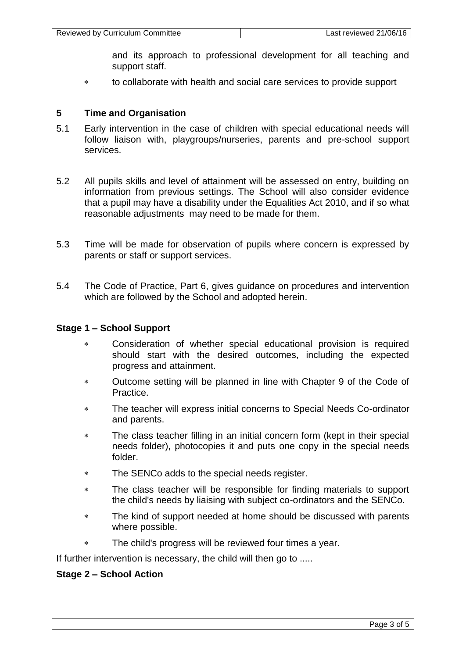and its approach to professional development for all teaching and support staff.

to collaborate with health and social care services to provide support

### **5 Time and Organisation**

- 5.1 Early intervention in the case of children with special educational needs will follow liaison with, playgroups/nurseries, parents and pre-school support services.
- 5.2 All pupils skills and level of attainment will be assessed on entry, building on information from previous settings. The School will also consider evidence that a pupil may have a disability under the Equalities Act 2010, and if so what reasonable adjustments may need to be made for them.
- 5.3 Time will be made for observation of pupils where concern is expressed by parents or staff or support services.
- 5.4 The Code of Practice, Part 6, gives guidance on procedures and intervention which are followed by the School and adopted herein.

#### **Stage 1 – School Support**

- Consideration of whether special educational provision is required should start with the desired outcomes, including the expected progress and attainment.
- Outcome setting will be planned in line with Chapter 9 of the Code of Practice.
- The teacher will express initial concerns to Special Needs Co-ordinator and parents.
- \* The class teacher filling in an initial concern form (kept in their special needs folder), photocopies it and puts one copy in the special needs folder.
- The SENCo adds to the special needs register.
- The class teacher will be responsible for finding materials to support the child's needs by liaising with subject co-ordinators and the SENCo.
- The kind of support needed at home should be discussed with parents where possible.
- The child's progress will be reviewed four times a year.

If further intervention is necessary, the child will then go to .....

### **Stage 2 – School Action**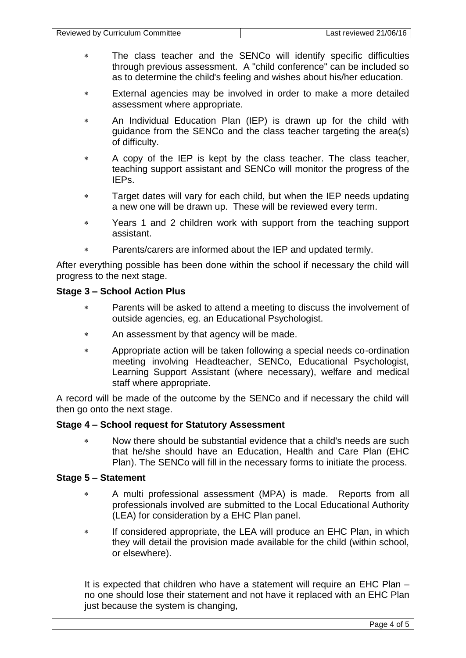- The class teacher and the SENCo will identify specific difficulties through previous assessment. A "child conference" can be included so as to determine the child's feeling and wishes about his/her education.
- External agencies may be involved in order to make a more detailed assessment where appropriate.
- An Individual Education Plan (IEP) is drawn up for the child with guidance from the SENCo and the class teacher targeting the area(s) of difficulty.
- A copy of the IEP is kept by the class teacher. The class teacher, teaching support assistant and SENCo will monitor the progress of the IEPs.
- Target dates will vary for each child, but when the IEP needs updating a new one will be drawn up. These will be reviewed every term.
- Years 1 and 2 children work with support from the teaching support assistant.
- Parents/carers are informed about the IEP and updated termly.

After everything possible has been done within the school if necessary the child will progress to the next stage.

# **Stage 3 – School Action Plus**

- Parents will be asked to attend a meeting to discuss the involvement of outside agencies, eg. an Educational Psychologist.
- An assessment by that agency will be made.
- Appropriate action will be taken following a special needs co-ordination meeting involving Headteacher, SENCo, Educational Psychologist, Learning Support Assistant (where necessary), welfare and medical staff where appropriate.

A record will be made of the outcome by the SENCo and if necessary the child will then go onto the next stage.

### **Stage 4 – School request for Statutory Assessment**

 Now there should be substantial evidence that a child's needs are such that he/she should have an Education, Health and Care Plan (EHC Plan). The SENCo will fill in the necessary forms to initiate the process.

#### **Stage 5 – Statement**

- A multi professional assessment (MPA) is made. Reports from all professionals involved are submitted to the Local Educational Authority (LEA) for consideration by a EHC Plan panel.
- \* If considered appropriate, the LEA will produce an EHC Plan, in which they will detail the provision made available for the child (within school, or elsewhere).

It is expected that children who have a statement will require an EHC Plan – no one should lose their statement and not have it replaced with an EHC Plan just because the system is changing,